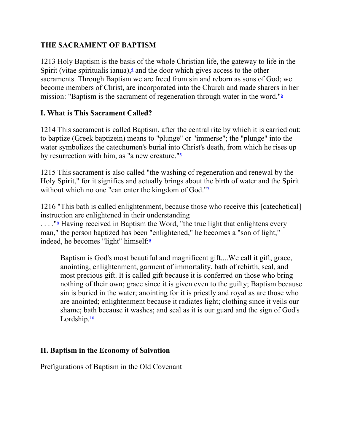### **THE SACRAMENT OF BAPTISM**

1213 Holy Baptism is the basis of the whole Christian life, the gateway to life in the Spirit (vitae spiritualis ianua), $\frac{4}{3}$  and the door which gives access to the other sacraments. Through Baptism we are freed from sin and reborn as sons of God; we become members of Christ, are incorporated into the Church and made sharers in her mission: "Baptism is the sacrament of regeneration through water in the word."<sup>5</sup>

### **I. What is This Sacrament Called?**

1214 This sacrament is called Baptism, after the central rite by which it is carried out: to baptize (Greek baptizein) means to "plunge" or "immerse"; the "plunge" into the water symbolizes the catechumen's burial into Christ's death, from which he rises up by resurrection with him, as "a new creature." $\frac{1}{6}$ 

1215 This sacrament is also called "the washing of regeneration and renewal by the Holy Spirit," for it signifies and actually brings about the birth of water and the Spirit without which no one "can enter the kingdom of God." $\frac{1}{2}$ 

1216 "This bath is called enlightenment, because those who receive this [catechetical] instruction are enlightened in their understanding

 $\ldots$ ."<sup>8</sup> Having received in Baptism the Word, "the true light that enlightens every man," the person baptized has been "enlightened," he becomes a "son of light," indeed, he becomes "light" himself:<sup>2</sup>

Baptism is God's most beautiful and magnificent gift....We call it gift, grace, anointing, enlightenment, garment of immortality, bath of rebirth, seal, and most precious gift. It is called gift because it is conferred on those who bring nothing of their own; grace since it is given even to the guilty; Baptism because sin is buried in the water; anointing for it is priestly and royal as are those who are anointed; enlightenment because it radiates light; clothing since it veils our shame; bath because it washes; and seal as it is our guard and the sign of God's Lordship.<sup>10</sup>

# **II. Baptism in the Economy of Salvation**

Prefigurations of Baptism in the Old Covenant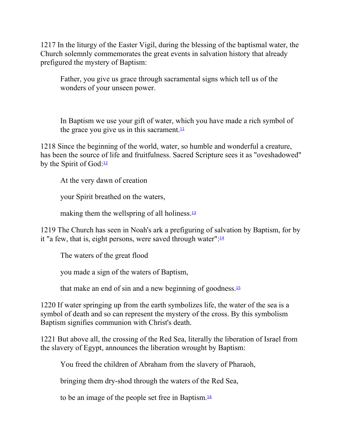1217 In the liturgy of the Easter Vigil, during the blessing of the baptismal water, the Church solemnly commemorates the great events in salvation history that already prefigured the mystery of Baptism:

Father, you give us grace through sacramental signs which tell us of the wonders of your unseen power.

In Baptism we use your gift of water, which you have made a rich symbol of the grace you give us in this sacrament. $\frac{11}{1}$ 

1218 Since the beginning of the world, water, so humble and wonderful a creature, has been the source of life and fruitfulness. Sacred Scripture sees it as "oveshadowed" by the Spirit of God: $12$ 

At the very dawn of creation

your Spirit breathed on the waters,

making them the wellspring of all holiness. $13$ 

1219 The Church has seen in Noah's ark a prefiguring of salvation by Baptism, for by it "a few, that is, eight persons, were saved through water": $\frac{14}{14}$ 

The waters of the great flood

you made a sign of the waters of Baptism,

that make an end of sin and a new beginning of goodness.<sup>15</sup>

1220 If water springing up from the earth symbolizes life, the water of the sea is a symbol of death and so can represent the mystery of the cross. By this symbolism Baptism signifies communion with Christ's death.

1221 But above all, the crossing of the Red Sea, literally the liberation of Israel from the slavery of Egypt, announces the liberation wrought by Baptism:

You freed the children of Abraham from the slavery of Pharaoh,

bringing them dry-shod through the waters of the Red Sea,

to be an image of the people set free in Baptism.16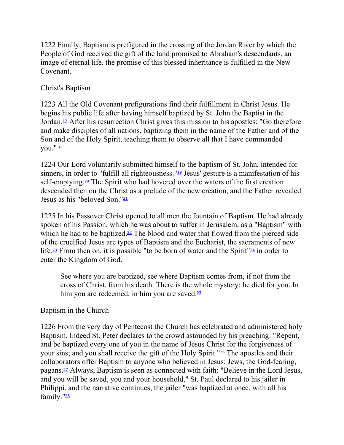1222 Finally, Baptism is prefigured in the crossing of the Jordan River by which the People of God received the gift of the land promised to Abraham's descendants, an image of eternal life. the promise of this blessed inheritance is fulfilled in the New Covenant.

### Christ's Baptism

1223 All the Old Covenant prefigurations find their fulfillment in Christ Jesus. He begins his public life after having himself baptized by St. John the Baptist in the Jordan.17 After his resurrection Christ gives this mission to his apostles: "Go therefore and make disciples of all nations, baptizing them in the name of the Father and of the Son and of the Holy Spirit, teaching them to observe all that I have commanded you."<sup>18</sup>

1224 Our Lord voluntarily submitted himself to the baptism of St. John, intended for sinners, in order to "fulfill all righteousness."<sup>19</sup> Jesus' gesture is a manifestation of his self-emptying.<sup>20</sup> The Spirit who had hovered over the waters of the first creation descended then on the Christ as a prelude of the new creation, and the Father revealed Jesus as his "beloved Son."<sup>21</sup>

1225 In his Passover Christ opened to all men the fountain of Baptism. He had already spoken of his Passion, which he was about to suffer in Jerusalem, as a "Baptism" with which he had to be baptized.<sup>22</sup> The blood and water that flowed from the pierced side of the crucified Jesus are types of Baptism and the Eucharist, the sacraments of new life.<sup>23</sup> From then on, it is possible "to be born of water and the Spirit"<sup>24</sup> in order to enter the Kingdom of God.

See where you are baptized, see where Baptism comes from, if not from the cross of Christ, from his death. There is the whole mystery: he died for you. In him you are redeemed, in him you are saved.<sup>25</sup>

### Baptism in the Church

1226 From the very day of Pentecost the Church has celebrated and administered holy Baptism. Indeed St. Peter declares to the crowd astounded by his preaching: "Repent, and be baptized every one of you in the name of Jesus Christ for the forgiveness of your sins; and you shall receive the gift of the Holy Spirit."26 The apostles and their collaborators offer Baptism to anyone who believed in Jesus: Jews, the God-fearing, pagans.27 Always, Baptism is seen as connected with faith: "Believe in the Lord Jesus, and you will be saved, you and your household," St. Paul declared to his jailer in Philippi. and the narrative continues, the jailer "was baptized at once, with all his family."<sup>28</sup>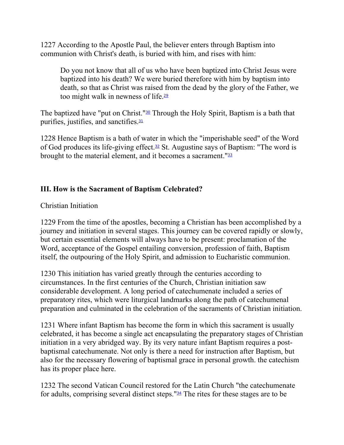1227 According to the Apostle Paul, the believer enters through Baptism into communion with Christ's death, is buried with him, and rises with him:

Do you not know that all of us who have been baptized into Christ Jesus were baptized into his death? We were buried therefore with him by baptism into death, so that as Christ was raised from the dead by the glory of the Father, we too might walk in newness of life.<sup>29</sup>

The baptized have "put on Christ."<sup>30</sup> Through the Holy Spirit, Baptism is a bath that purifies, justifies, and sanctifies.<sup>31</sup>

1228 Hence Baptism is a bath of water in which the "imperishable seed" of the Word of God produces its life-giving effect.<sup>32</sup> St. Augustine says of Baptism: "The word is brought to the material element, and it becomes a sacrament."<sup>33</sup>

# **III. How is the Sacrament of Baptism Celebrated?**

Christian Initiation

1229 From the time of the apostles, becoming a Christian has been accomplished by a journey and initiation in several stages. This journey can be covered rapidly or slowly, but certain essential elements will always have to be present: proclamation of the Word, acceptance of the Gospel entailing conversion, profession of faith, Baptism itself, the outpouring of the Holy Spirit, and admission to Eucharistic communion.

1230 This initiation has varied greatly through the centuries according to circumstances. In the first centuries of the Church, Christian initiation saw considerable development. A long period of catechumenate included a series of preparatory rites, which were liturgical landmarks along the path of catechumenal preparation and culminated in the celebration of the sacraments of Christian initiation.

1231 Where infant Baptism has become the form in which this sacrament is usually celebrated, it has become a single act encapsulating the preparatory stages of Christian initiation in a very abridged way. By its very nature infant Baptism requires a postbaptismal catechumenate. Not only is there a need for instruction after Baptism, but also for the necessary flowering of baptismal grace in personal growth. the catechism has its proper place here.

1232 The second Vatican Council restored for the Latin Church "the catechumenate for adults, comprising several distinct steps." $34$  The rites for these stages are to be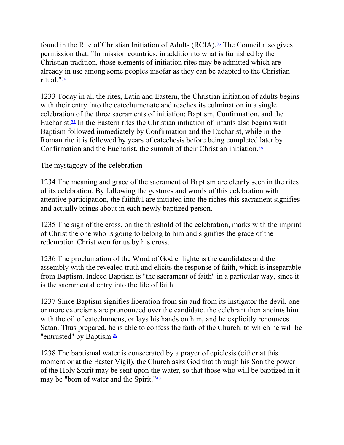found in the Rite of Christian Initiation of Adults (RCIA).35 The Council also gives permission that: "In mission countries, in addition to what is furnished by the Christian tradition, those elements of initiation rites may be admitted which are already in use among some peoples insofar as they can be adapted to the Christian ritual."<sup>36</sup>

1233 Today in all the rites, Latin and Eastern, the Christian initiation of adults begins with their entry into the catechumenate and reaches its culmination in a single celebration of the three sacraments of initiation: Baptism, Confirmation, and the Eucharist.<sup> $37$ </sup> In the Eastern rites the Christian initiation of infants also begins with Baptism followed immediately by Confirmation and the Eucharist, while in the Roman rite it is followed by years of catechesis before being completed later by Confirmation and the Eucharist, the summit of their Christian initiation.<sup>38</sup>

The mystagogy of the celebration

1234 The meaning and grace of the sacrament of Baptism are clearly seen in the rites of its celebration. By following the gestures and words of this celebration with attentive participation, the faithful are initiated into the riches this sacrament signifies and actually brings about in each newly baptized person.

1235 The sign of the cross, on the threshold of the celebration, marks with the imprint of Christ the one who is going to belong to him and signifies the grace of the redemption Christ won for us by his cross.

1236 The proclamation of the Word of God enlightens the candidates and the assembly with the revealed truth and elicits the response of faith, which is inseparable from Baptism. Indeed Baptism is "the sacrament of faith" in a particular way, since it is the sacramental entry into the life of faith.

1237 Since Baptism signifies liberation from sin and from its instigator the devil, one or more exorcisms are pronounced over the candidate. the celebrant then anoints him with the oil of cate chumens, or lays his hands on him, and he explicitly renounces Satan. Thus prepared, he is able to confess the faith of the Church, to which he will be "entrusted" by Baptism.<sup>39</sup>

1238 The baptismal water is consecrated by a prayer of epiclesis (either at this moment or at the Easter Vigil). the Church asks God that through his Son the power of the Holy Spirit may be sent upon the water, so that those who will be baptized in it may be "born of water and the Spirit."40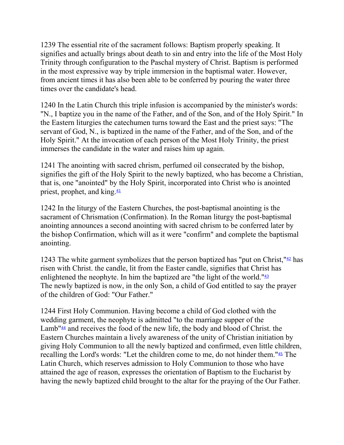1239 The essential rite of the sacrament follows: Baptism properly speaking. It signifies and actually brings about death to sin and entry into the life of the Most Holy Trinity through configuration to the Paschal mystery of Christ. Baptism is performed in the most expressive way by triple immersion in the baptismal water. However, from ancient times it has also been able to be conferred by pouring the water three times over the candidate's head.

1240 In the Latin Church this triple infusion is accompanied by the minister's words: "N., I baptize you in the name of the Father, and of the Son, and of the Holy Spirit." In the Eastern liturgies the catechumen turns toward the East and the priest says: "The servant of God, N., is baptized in the name of the Father, and of the Son, and of the Holy Spirit." At the invocation of each person of the Most Holy Trinity, the priest immerses the candidate in the water and raises him up again.

1241 The anointing with sacred chrism, perfumed oil consecrated by the bishop, signifies the gift of the Holy Spirit to the newly baptized, who has become a Christian, that is, one "anointed" by the Holy Spirit, incorporated into Christ who is anointed priest, prophet, and king.<sup>41</sup>

1242 In the liturgy of the Eastern Churches, the post-baptismal anointing is the sacrament of Chrismation (Confirmation). In the Roman liturgy the post-baptismal anointing announces a second anointing with sacred chrism to be conferred later by the bishop Confirmation, which will as it were "confirm" and complete the baptismal anointing.

1243 The white garment symbolizes that the person baptized has "put on Christ," $42$  has risen with Christ. the candle, lit from the Easter candle, signifies that Christ has enlightened the neophyte. In him the baptized are "the light of the world."<sup>43</sup> The newly baptized is now, in the only Son, a child of God entitled to say the prayer of the children of God: "Our Father."

1244 First Holy Communion. Having become a child of God clothed with the wedding garment, the neophyte is admitted "to the marriage supper of the Lamb<sup>"44</sup> and receives the food of the new life, the body and blood of Christ. the Eastern Churches maintain a lively awareness of the unity of Christian initiation by giving Holy Communion to all the newly baptized and confirmed, even little children, recalling the Lord's words: "Let the children come to me, do not hinder them."45 The Latin Church, which reserves admission to Holy Communion to those who have attained the age of reason, expresses the orientation of Baptism to the Eucharist by having the newly baptized child brought to the altar for the praying of the Our Father.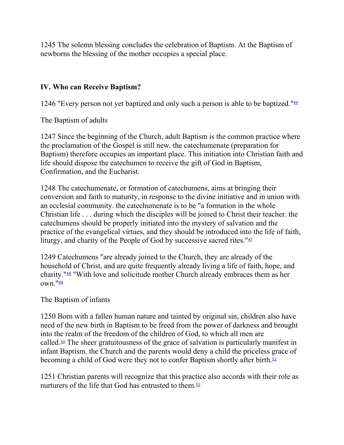1245 The solemn blessing concludes the celebration of Baptism. At the Baptism of newborns the blessing of the mother occupies a special place.

### **IV. Who can Receive Baptism?**

1246 "Every person not yet baptized and only such a person is able to be baptized."<sup>46</sup>

The Baptism of adults

1247 Since the beginning of the Church, adult Baptism is the common practice where the proclamation of the Gospel is still new. the catechumenate (preparation for Baptism) therefore occupies an important place. This initiation into Christian faith and life should dispose the catechumen to receive the gift of God in Baptism, Confirmation, and the Eucharist.

1248 The catechumenate, or formation of catechumens, aims at bringing their conversion and faith to maturity, in response to the divine initiative and in union with an ecclesial community. the catechumenate is to be "a formation in the whole Christian life . . . during which the disciples will be joined to Christ their teacher. the catechumens should be properly initiated into the mystery of salvation and the practice of the evangelical virtues, and they should be introduced into the life of faith, liturgy, and charity of the People of God by successive sacred rites."<sup>47</sup>

1249 Catechumens "are already joined to the Church, they are already of the household of Christ, and are quite frequently already living a life of faith, hope, and charity."48 "With love and solicitude mother Church already embraces them as her own."<sup>49</sup>

### The Baptism of infants

1250 Born with a fallen human nature and tainted by original sin, children also have need of the new birth in Baptism to be freed from the power of darkness and brought into the realm of the freedom of the children of God, to which all men are called.<sup>50</sup> The sheer gratuitousness of the grace of salvation is particularly manifest in infant Baptism. the Church and the parents would deny a child the priceless grace of becoming a child of God were they not to confer Baptism shortly after birth.<sup>51</sup>

1251 Christian parents will recognize that this practice also accords with their role as nurturers of the life that God has entrusted to them. $52$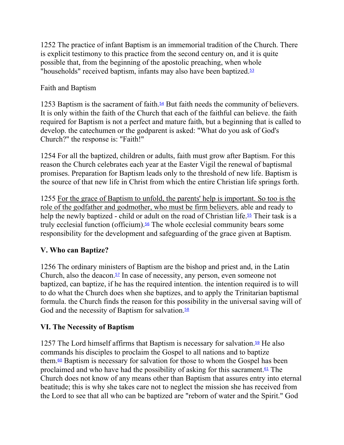1252 The practice of infant Baptism is an immemorial tradition of the Church. There is explicit testimony to this practice from the second century on, and it is quite possible that, from the beginning of the apostolic preaching, when whole "households" received baptism, infants may also have been baptized.<sup>53</sup>

# Faith and Baptism

1253 Baptism is the sacrament of faith.<sup>54</sup> But faith needs the community of believers. It is only within the faith of the Church that each of the faithful can believe. the faith required for Baptism is not a perfect and mature faith, but a beginning that is called to develop. the catechumen or the godparent is asked: "What do you ask of God's Church?" the response is: "Faith!"

1254 For all the baptized, children or adults, faith must grow after Baptism. For this reason the Church celebrates each year at the Easter Vigil the renewal of baptismal promises. Preparation for Baptism leads only to the threshold of new life. Baptism is the source of that new life in Christ from which the entire Christian life springs forth.

1255 For the grace of Baptism to unfold, the parents' help is important. So too is the role of the godfather and godmother, who must be firm believers, able and ready to help the newly baptized - child or adult on the road of Christian life.<sup>55</sup> Their task is a truly ecclesial function (officium).<sup>56</sup> The whole ecclesial community bears some responsibility for the development and safeguarding of the grace given at Baptism.

# **V. Who can Baptize?**

1256 The ordinary ministers of Baptism are the bishop and priest and, in the Latin Church, also the deacon. $57$  In case of necessity, any person, even someone not baptized, can baptize, if he has the required intention. the intention required is to will to do what the Church does when she baptizes, and to apply the Trinitarian baptismal formula. the Church finds the reason for this possibility in the universal saving will of God and the necessity of Baptism for salvation.<sup>58</sup>

# **VI. The Necessity of Baptism**

1257 The Lord himself affirms that Baptism is necessary for salvation.<sup>59</sup> He also commands his disciples to proclaim the Gospel to all nations and to baptize them. $\omega$  Baptism is necessary for salvation for those to whom the Gospel has been proclaimed and who have had the possibility of asking for this sacrament.<sup>61</sup> The Church does not know of any means other than Baptism that assures entry into eternal beatitude; this is why she takes care not to neglect the mission she has received from the Lord to see that all who can be baptized are "reborn of water and the Spirit." God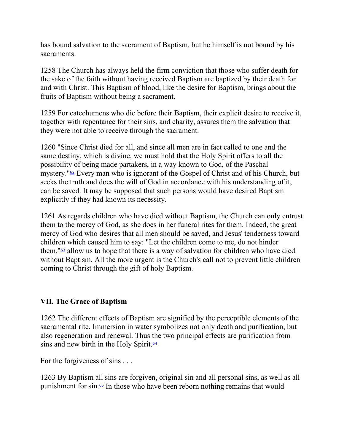has bound salvation to the sacrament of Baptism, but he himself is not bound by his sacraments.

1258 The Church has always held the firm conviction that those who suffer death for the sake of the faith without having received Baptism are baptized by their death for and with Christ. This Baptism of blood, like the desire for Baptism, brings about the fruits of Baptism without being a sacrament.

1259 For catechumens who die before their Baptism, their explicit desire to receive it, together with repentance for their sins, and charity, assures them the salvation that they were not able to receive through the sacrament.

1260 "Since Christ died for all, and since all men are in fact called to one and the same destiny, which is divine, we must hold that the Holy Spirit offers to all the possibility of being made partakers, in a way known to God, of the Paschal mystery."62 Every man who is ignorant of the Gospel of Christ and of his Church, but seeks the truth and does the will of God in accordance with his understanding of it, can be saved. It may be supposed that such persons would have desired Baptism explicitly if they had known its necessity.

1261 As regards children who have died without Baptism, the Church can only entrust them to the mercy of God, as she does in her funeral rites for them. Indeed, the great mercy of God who desires that all men should be saved, and Jesus' tenderness toward children which caused him to say: "Let the children come to me, do not hinder them," $63$  allow us to hope that there is a way of salvation for children who have died without Baptism. All the more urgent is the Church's call not to prevent little children coming to Christ through the gift of holy Baptism.

### **VII. The Grace of Baptism**

1262 The different effects of Baptism are signified by the perceptible elements of the sacramental rite. Immersion in water symbolizes not only death and purification, but also regeneration and renewal. Thus the two principal effects are purification from sins and new birth in the Holy Spirit. $64$ 

For the forgiveness of sins . . .

1263 By Baptism all sins are forgiven, original sin and all personal sins, as well as all punishment for sin.65 In those who have been reborn nothing remains that would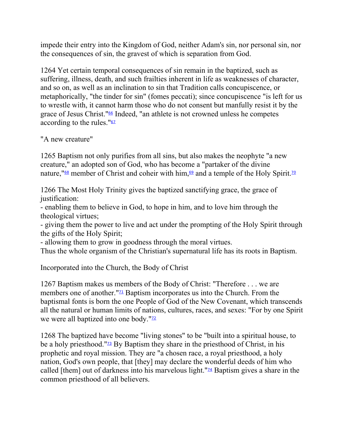impede their entry into the Kingdom of God, neither Adam's sin, nor personal sin, nor the consequences of sin, the gravest of which is separation from God.

1264 Yet certain temporal consequences of sin remain in the baptized, such as suffering, illness, death, and such frailties inherent in life as weaknesses of character, and so on, as well as an inclination to sin that Tradition calls concupiscence, or metaphorically, "the tinder for sin" (fomes peccati); since concupiscence "is left for us to wrestle with, it cannot harm those who do not consent but manfully resist it by the grace of Jesus Christ."<sup>66</sup> Indeed, "an athlete is not crowned unless he competes according to the rules." $67$ 

"A new creature"

1265 Baptism not only purifies from all sins, but also makes the neophyte "a new creature," an adopted son of God, who has become a "partaker of the divine nature,  $\frac{1}{68}$  member of Christ and coheir with him,  $\frac{69}{2}$  and a temple of the Holy Spirit.<sup>10</sup>

1266 The Most Holy Trinity gives the baptized sanctifying grace, the grace of justification:

- enabling them to believe in God, to hope in him, and to love him through the theological virtues;

- giving them the power to live and act under the prompting of the Holy Spirit through the gifts of the Holy Spirit;

- allowing them to grow in goodness through the moral virtues.

Thus the whole organism of the Christian's supernatural life has its roots in Baptism.

Incorporated into the Church, the Body of Christ

1267 Baptism makes us members of the Body of Christ: "Therefore . . . we are members one of another." $\frac{1}{2}$  Baptism incorporates us into the Church. From the baptismal fonts is born the one People of God of the New Covenant, which transcends all the natural or human limits of nations, cultures, races, and sexes: "For by one Spirit we were all baptized into one body."<sup>12</sup>

1268 The baptized have become "living stones" to be "built into a spiritual house, to be a holy priesthood."73 By Baptism they share in the priesthood of Christ, in his prophetic and royal mission. They are "a chosen race, a royal priesthood, a holy nation, God's own people, that [they] may declare the wonderful deeds of him who called [them] out of darkness into his marvelous light." $\frac{74}{4}$  Baptism gives a share in the common priesthood of all believers.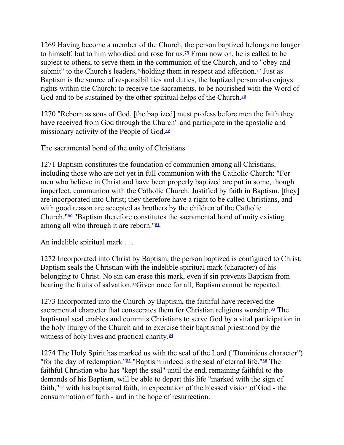1269 Having become a member of the Church, the person baptized belongs no longer to himself, but to him who died and rose for us.<sup>75</sup> From now on, he is called to be subject to others, to serve them in the communion of the Church, and to "obey and submit" to the Church's leaders,<sup>76</sup>holding them in respect and affection.<sup>77</sup> Just as Baptism is the source of responsibilities and duties, the baptized person also enjoys rights within the Church: to receive the sacraments, to be nourished with the Word of God and to be sustained by the other spiritual helps of the Church.<sup>78</sup>

1270 "Reborn as sons of God, [the baptized] must profess before men the faith they have received from God through the Church" and participate in the apostolic and missionary activity of the People of God.<sup>79</sup>

The sacramental bond of the unity of Christians

1271 Baptism constitutes the foundation of communion among all Christians, including those who are not yet in full communion with the Catholic Church: "For men who believe in Christ and have been properly baptized are put in some, though imperfect, communion with the Catholic Church. Justified by faith in Baptism, [they] are incorporated into Christ; they therefore have a right to be called Christians, and with good reason are accepted as brothers by the children of the Catholic Church."<sup>80</sup> "Baptism therefore constitutes the sacramental bond of unity existing among all who through it are reborn." $81$ 

An indelible spiritual mark . . .

1272 Incorporated into Christ by Baptism, the person baptized is configured to Christ. Baptism seals the Christian with the indelible spiritual mark (character) of his belonging to Christ. No sin can erase this mark, even if sin prevents Baptism from bearing the fruits of salvation.<sup>82</sup>Given once for all, Baptism cannot be repeated.

1273 Incorporated into the Church by Baptism, the faithful have received the sacramental character that consecrates them for Christian religious worship. $83$  The baptismal seal enables and commits Christians to serve God by a vital participation in the holy liturgy of the Church and to exercise their baptismal priesthood by the witness of holy lives and practical charity.<sup>84</sup>

1274 The Holy Spirit has marked us with the seal of the Lord ("Dominicus character") "for the day of redemption."<sup>85</sup> "Baptism indeed is the seal of eternal life."<sup>86</sup> The faithful Christian who has "kept the seal" until the end, remaining faithful to the demands of his Baptism, will be able to depart this life "marked with the sign of faith,  $\frac{187}{2}$  with his baptismal faith, in expectation of the blessed vision of God - the consummation of faith - and in the hope of resurrection.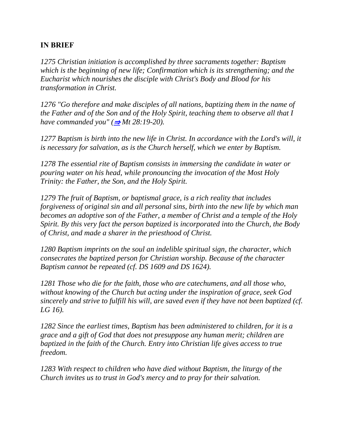### **IN BRIEF**

*1275 Christian initiation is accomplished by three sacraments together: Baptism which is the beginning of new life; Confirmation which is its strengthening; and the Eucharist which nourishes the disciple with Christ's Body and Blood for his transformation in Christ.*

*1276 "Go therefore and make disciples of all nations, baptizing them in the name of the Father and of the Son and of the Holy Spirit, teaching them to observe all that I have commanded you" (* $\Rightarrow$  *Mt 28:19-20).* 

*1277 Baptism is birth into the new life in Christ. In accordance with the Lord's will, it is necessary for salvation, as is the Church herself, which we enter by Baptism.*

*1278 The essential rite of Baptism consists in immersing the candidate in water or pouring water on his head, while pronouncing the invocation of the Most Holy Trinity: the Father, the Son, and the Holy Spirit.*

*1279 The fruit of Baptism, or baptismal grace, is a rich reality that includes forgiveness of original sin and all personal sins, birth into the new life by which man becomes an adoptive son of the Father, a member of Christ and a temple of the Holy Spirit. By this very fact the person baptized is incorporated into the Church, the Body of Christ, and made a sharer in the priesthood of Christ.*

*1280 Baptism imprints on the soul an indelible spiritual sign, the character, which consecrates the baptized person for Christian worship. Because of the character Baptism cannot be repeated (cf. DS 1609 and DS 1624).*

*1281 Those who die for the faith, those who are catechumens, and all those who, without knowing of the Church but acting under the inspiration of grace, seek God sincerely and strive to fulfill his will, are saved even if they have not been baptized (cf. LG 16).*

*1282 Since the earliest times, Baptism has been administered to children, for it is a grace and a gift of God that does not presuppose any human merit; children are baptized in the faith of the Church. Entry into Christian life gives access to true freedom.*

*1283 With respect to children who have died without Baptism, the liturgy of the Church invites us to trust in God's mercy and to pray for their salvation.*